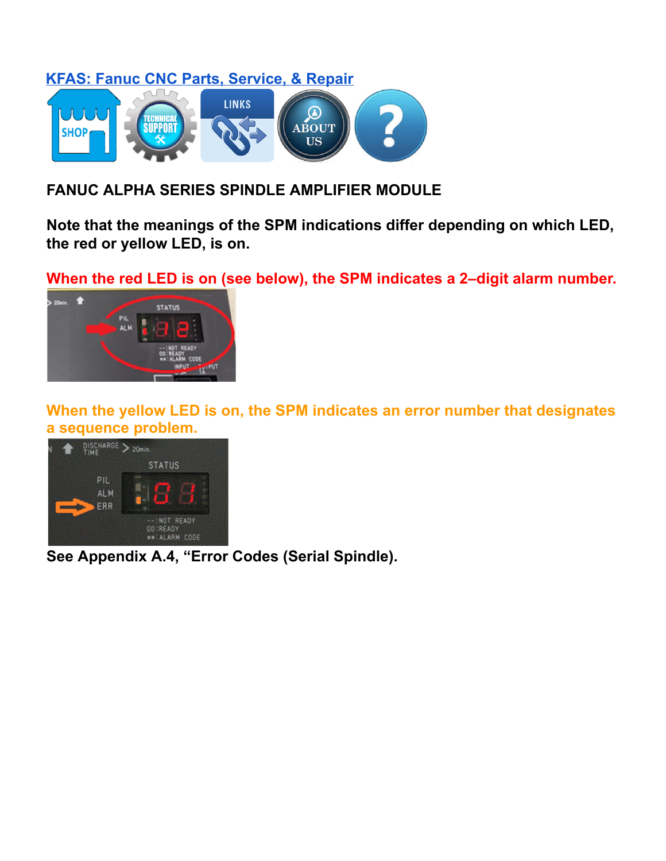

# **FANUC ALPHA SERIES SPINDLE AMPLIFIER MODULE**

**Note that the meanings of the SPM indications differ depending on which LED, the red or yellow LED, is on.**

**When the red LED is on (see below), the SPM indicates a 2–digit alarm number.**



**When the yellow LED is on, the SPM indicates an error number that designates a sequence problem.**



**See Appendix A.4, "Error Codes (Serial Spindle).**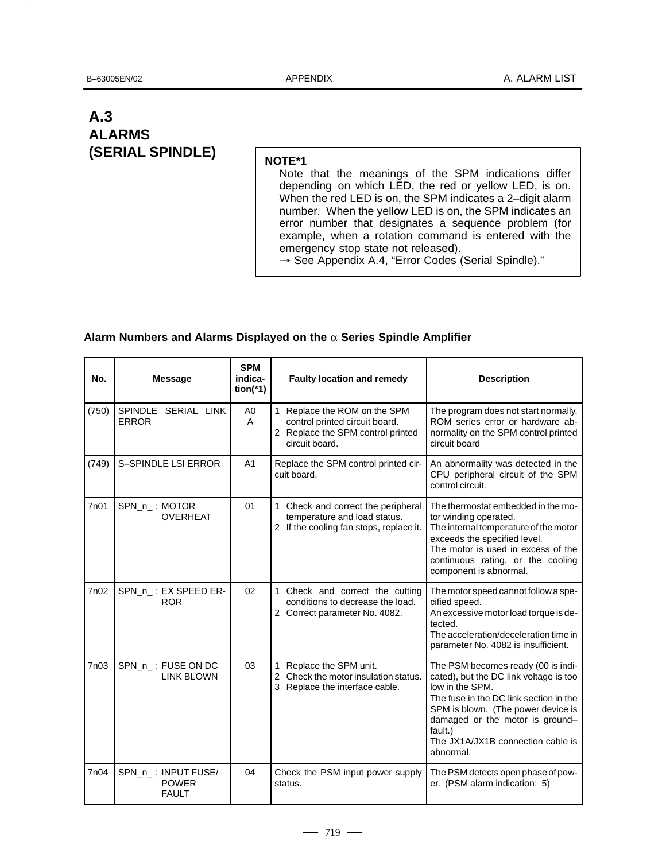## **A.3 ALARMS (SERIAL SPINDLE)**

#### **NOTE\*1**

Note that the meanings of the SPM indications differ depending on which LED, the red or yellow LED, is on. When the red LED is on, the SPM indicates a 2–digit alarm number. When the yellow LED is on, the SPM indicates an error number that designates a sequence problem (for example, when a rotation command is entered with the emergency stop state not released).

→ See Appendix A.4, "Error Codes (Serial Spindle)."

#### **Alarm Numbers and Alarms Displayed on the** α **Series Spindle Amplifier**

| No.   | <b>Message</b>                                      | <b>SPM</b><br>indica-<br>$tion$ (*1) | <b>Faulty location and remedy</b>                                                                                     | <b>Description</b>                                                                                                                                                                                                                                                              |
|-------|-----------------------------------------------------|--------------------------------------|-----------------------------------------------------------------------------------------------------------------------|---------------------------------------------------------------------------------------------------------------------------------------------------------------------------------------------------------------------------------------------------------------------------------|
| (750) | SPINDLE SERIAL LINK<br><b>ERROR</b>                 | A <sub>0</sub><br>A                  | 1 Replace the ROM on the SPM<br>control printed circuit board.<br>2 Replace the SPM control printed<br>circuit board. | The program does not start normally.<br>ROM series error or hardware ab-<br>normality on the SPM control printed<br>circuit board                                                                                                                                               |
| (749) | <b>S-SPINDLE LSI ERROR</b>                          | A <sub>1</sub>                       | Replace the SPM control printed cir-<br>cuit board.                                                                   | An abnormality was detected in the<br>CPU peripheral circuit of the SPM<br>control circuit.                                                                                                                                                                                     |
| 7n01  | SPN_n_: MOTOR<br><b>OVERHEAT</b>                    | 01                                   | 1 Check and correct the peripheral<br>temperature and load status.<br>2 If the cooling fan stops, replace it.         | The thermostat embedded in the mo-<br>tor winding operated.<br>The internal temperature of the motor<br>exceeds the specified level.<br>The motor is used in excess of the<br>continuous rating, or the cooling<br>component is abnormal.                                       |
| 7n02  | SPN_n_: EX SPEED ER-<br><b>ROR</b>                  | 02                                   | 1 Check and correct the cutting<br>conditions to decrease the load.<br>2 Correct parameter No. 4082.                  | The motor speed cannot follow a spe-<br>cified speed.<br>An excessive motor load torque is de-<br>tected.<br>The acceleration/deceleration time in<br>parameter No. 4082 is insufficient.                                                                                       |
| 7n03  | SPN_n_: FUSE ON DC<br><b>LINK BLOWN</b>             | 03                                   | 1 Replace the SPM unit.<br>2 Check the motor insulation status.<br>3 Replace the interface cable.                     | The PSM becomes ready (00 is indi-<br>cated), but the DC link voltage is too<br>low in the SPM.<br>The fuse in the DC link section in the<br>SPM is blown. (The power device is<br>damaged or the motor is ground-<br>fault.)<br>The JX1A/JX1B connection cable is<br>abnormal. |
| 7n04  | SPN_n_: INPUT FUSE/<br><b>POWER</b><br><b>FAULT</b> | 04                                   | Check the PSM input power supply<br>status.                                                                           | The PSM detects open phase of pow-<br>er. (PSM alarm indication: 5)                                                                                                                                                                                                             |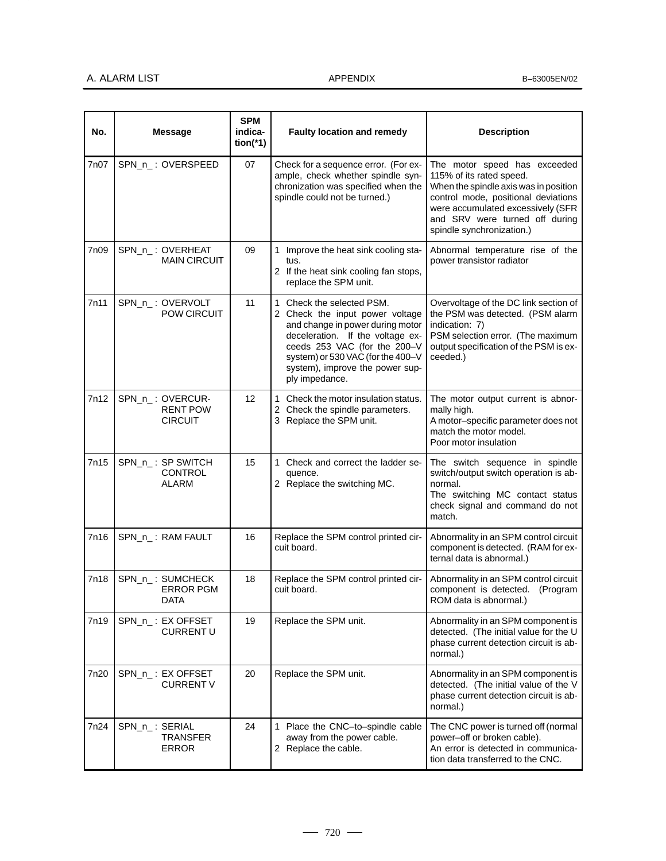| No.  | Message                                               | <b>SPM</b><br>indica-<br>$tion$ (*1) | <b>Faulty location and remedy</b>                                                                                                                                                                                                                              | <b>Description</b>                                                                                                                                                                                                                           |
|------|-------------------------------------------------------|--------------------------------------|----------------------------------------------------------------------------------------------------------------------------------------------------------------------------------------------------------------------------------------------------------------|----------------------------------------------------------------------------------------------------------------------------------------------------------------------------------------------------------------------------------------------|
| 7n07 | SPN_n_: OVERSPEED                                     | 07                                   | Check for a sequence error. (For ex-<br>ample, check whether spindle syn-<br>chronization was specified when the<br>spindle could not be turned.)                                                                                                              | The motor speed has exceeded<br>115% of its rated speed.<br>When the spindle axis was in position<br>control mode, positional deviations<br>were accumulated excessively (SFR<br>and SRV were turned off during<br>spindle synchronization.) |
| 7n09 | SPN_n_: OVERHEAT<br><b>MAIN CIRCUIT</b>               | 09                                   | 1 Improve the heat sink cooling sta-<br>tus.<br>2 If the heat sink cooling fan stops,<br>replace the SPM unit.                                                                                                                                                 | Abnormal temperature rise of the<br>power transistor radiator                                                                                                                                                                                |
| 7n11 | SPN_n_: OVERVOLT<br>POW CIRCUIT                       | 11                                   | 1 Check the selected PSM.<br>2 Check the input power voltage<br>and change in power during motor<br>deceleration. If the voltage ex-<br>ceeds 253 VAC (for the 200-V<br>system) or 530 VAC (for the 400-V<br>system), improve the power sup-<br>ply impedance. | Overvoltage of the DC link section of<br>the PSM was detected. (PSM alarm<br>indication: 7)<br>PSM selection error. (The maximum<br>output specification of the PSM is ex-<br>ceeded.)                                                       |
| 7n12 | SPN_n_: OVERCUR-<br><b>RENT POW</b><br><b>CIRCUIT</b> | 12                                   | 1 Check the motor insulation status.<br>2 Check the spindle parameters.<br>3 Replace the SPM unit.                                                                                                                                                             | The motor output current is abnor-<br>mally high.<br>A motor-specific parameter does not<br>match the motor model.<br>Poor motor insulation                                                                                                  |
| 7n15 | SPN_n_: SP SWITCH<br><b>CONTROL</b><br><b>ALARM</b>   | 15                                   | 1 Check and correct the ladder se-<br>quence.<br>2 Replace the switching MC.                                                                                                                                                                                   | The switch sequence in spindle<br>switch/output switch operation is ab-<br>normal.<br>The switching MC contact status<br>check signal and command do not<br>match.                                                                           |
| 7n16 | SPN_n_: RAM FAULT                                     | 16                                   | Replace the SPM control printed cir-<br>cuit board.                                                                                                                                                                                                            | Abnormality in an SPM control circuit<br>component is detected. (RAM for ex-<br>ternal data is abnormal.)                                                                                                                                    |
| 7n18 | SPN_n_: SUMCHECK<br><b>ERROR PGM</b><br>DATA          | 18                                   | Replace the SPM control printed cir-<br>cuit board.                                                                                                                                                                                                            | Abnormality in an SPM control circuit<br>component is detected. (Program<br>ROM data is abnormal.)                                                                                                                                           |
| 7n19 | SPN_n_: EX OFFSET<br><b>CURRENT U</b>                 | 19                                   | Replace the SPM unit.                                                                                                                                                                                                                                          | Abnormality in an SPM component is<br>detected. (The initial value for the U<br>phase current detection circuit is ab-<br>normal.)                                                                                                           |
| 7n20 | SPN n : EX OFFSET<br><b>CURRENT V</b>                 | 20                                   | Replace the SPM unit.                                                                                                                                                                                                                                          | Abnormality in an SPM component is<br>detected. (The initial value of the V<br>phase current detection circuit is ab-<br>normal.)                                                                                                            |
| 7n24 | SPN_n_: SERIAL<br><b>TRANSFER</b><br><b>ERROR</b>     | 24                                   | 1 Place the CNC-to-spindle cable<br>away from the power cable.<br>2 Replace the cable.                                                                                                                                                                         | The CNC power is turned off (normal<br>power-off or broken cable).<br>An error is detected in communica-<br>tion data transferred to the CNC.                                                                                                |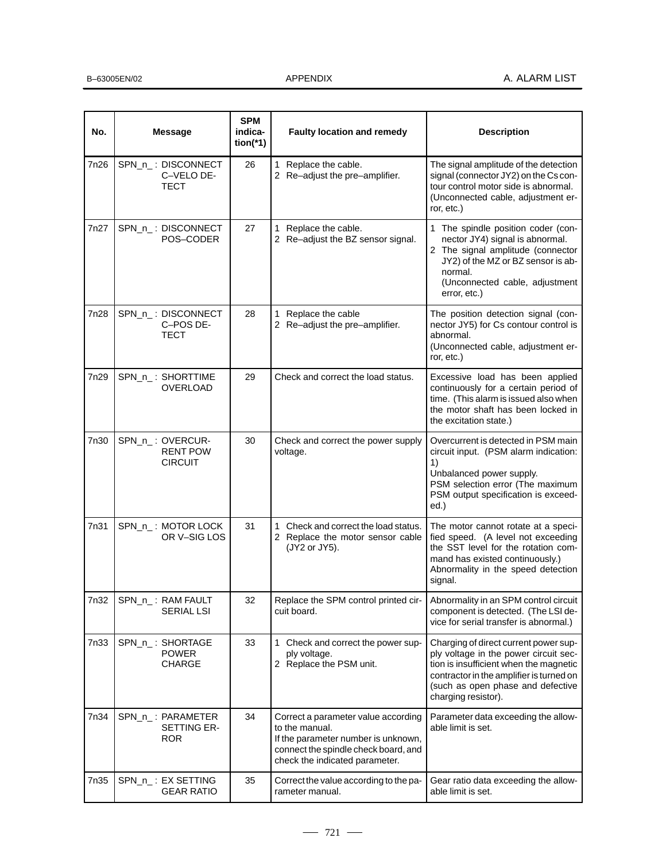| No.  | <b>Message</b>                                        | <b>SPM</b><br>indica-<br>$tion$ (*1) | <b>Faulty location and remedy</b>                                                                                                                                      | <b>Description</b>                                                                                                                                                                                                               |
|------|-------------------------------------------------------|--------------------------------------|------------------------------------------------------------------------------------------------------------------------------------------------------------------------|----------------------------------------------------------------------------------------------------------------------------------------------------------------------------------------------------------------------------------|
| 7n26 | SPN_n_: DISCONNECT<br>C-VELO DE-<br><b>TECT</b>       | 26                                   | 1 Replace the cable.<br>2 Re-adjust the pre-amplifier.                                                                                                                 | The signal amplitude of the detection<br>signal (connector JY2) on the Cs con-<br>tour control motor side is abnormal.<br>(Unconnected cable, adjustment er-<br>ror, etc.)                                                       |
| 7n27 | SPN_n_: DISCONNECT<br>POS-CODER                       | 27                                   | 1 Replace the cable.<br>2 Re-adjust the BZ sensor signal.                                                                                                              | 1 The spindle position coder (con-<br>nector JY4) signal is abnormal.<br>2 The signal amplitude (connector<br>JY2) of the MZ or BZ sensor is ab-<br>normal.<br>(Unconnected cable, adjustment<br>error, etc.)                    |
| 7n28 | SPN_n_: DISCONNECT<br>C-POS DE-<br><b>TECT</b>        | 28                                   | 1 Replace the cable<br>2 Re-adjust the pre-amplifier.                                                                                                                  | The position detection signal (con-<br>nector JY5) for Cs contour control is<br>abnormal.<br>(Unconnected cable, adjustment er-<br>ror, etc.)                                                                                    |
| 7n29 | SPN_n_: SHORTTIME<br><b>OVERI OAD</b>                 | 29                                   | Check and correct the load status.                                                                                                                                     | Excessive load has been applied<br>continuously for a certain period of<br>time. (This alarm is issued also when<br>the motor shaft has been locked in<br>the excitation state.)                                                 |
| 7n30 | SPN_n_: OVERCUR-<br><b>RENT POW</b><br><b>CIRCUIT</b> | 30                                   | Check and correct the power supply<br>voltage.                                                                                                                         | Overcurrent is detected in PSM main<br>circuit input. (PSM alarm indication:<br>1)<br>Unbalanced power supply.<br>PSM selection error (The maximum<br>PSM output specification is exceed-<br>ed.)                                |
| 7n31 | SPN_n_: MOTOR LOCK<br>OR V-SIG LOS                    | 31                                   | 1 Check and correct the load status.<br>2 Replace the motor sensor cable<br>(JY2 or JY5).                                                                              | The motor cannot rotate at a speci-<br>fied speed. (A level not exceeding<br>the SST level for the rotation com-<br>mand has existed continuously.)<br>Abnormality in the speed detection<br>signal.                             |
| 7n32 | SPN_n_ : RAM FAULI<br><b>SERIAL LSI</b>               | 32                                   | Replace the SPM control printed cir-<br>cuit board.                                                                                                                    | Abnormality in an SPM control circuit<br>component is detected. (The LSI de-<br>vice for serial transfer is abnormal.)                                                                                                           |
| 7n33 | SPN_n_: SHORTAGE<br><b>POWER</b><br><b>CHARGE</b>     | 33                                   | 1 Check and correct the power sup-<br>ply voltage.<br>2 Replace the PSM unit.                                                                                          | Charging of direct current power sup-<br>ply voltage in the power circuit sec-<br>tion is insufficient when the magnetic<br>contractor in the amplifier is turned on<br>(such as open phase and defective<br>charging resistor). |
| 7n34 | SPN_n_: PARAMETER<br>SETTING ER-<br><b>ROR</b>        | 34                                   | Correct a parameter value according<br>to the manual.<br>If the parameter number is unknown,<br>connect the spindle check board, and<br>check the indicated parameter. | Parameter data exceeding the allow-<br>able limit is set.                                                                                                                                                                        |
| 7n35 | SPN_n_: EX SETTING<br><b>GEAR RATIO</b>               | 35                                   | Correct the value according to the pa-<br>rameter manual.                                                                                                              | Gear ratio data exceeding the allow-<br>able limit is set.                                                                                                                                                                       |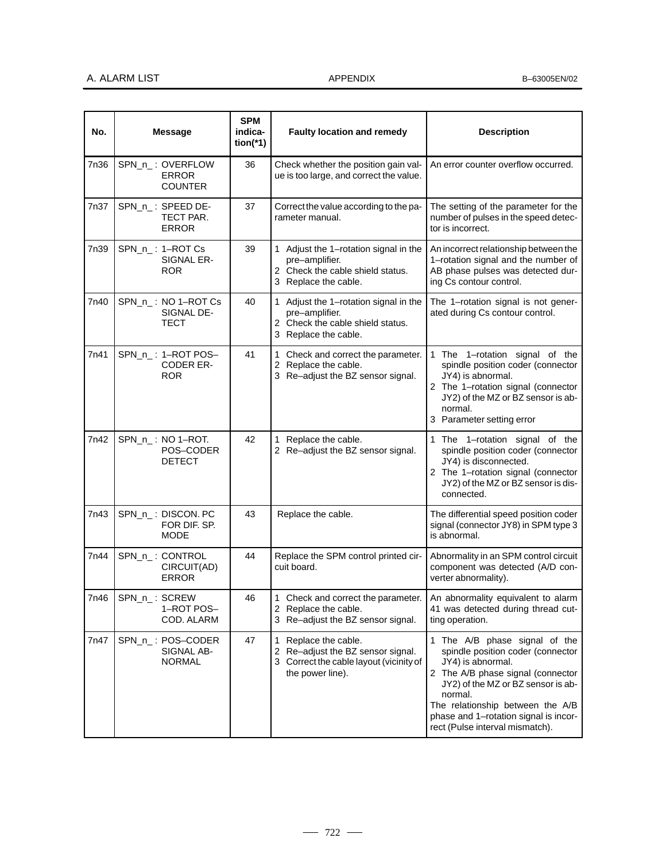| No.  | <b>Message</b>                                       | <b>SPM</b><br>indica-<br>$tion$ (*1) | <b>Faulty location and remedy</b>                                                                                        | <b>Description</b>                                                                                                                                                                                                                                                                            |
|------|------------------------------------------------------|--------------------------------------|--------------------------------------------------------------------------------------------------------------------------|-----------------------------------------------------------------------------------------------------------------------------------------------------------------------------------------------------------------------------------------------------------------------------------------------|
| 7n36 | SPN_n_: OVERFLOW<br><b>ERROR</b><br><b>COUNTER</b>   | 36                                   | Check whether the position gain val-<br>ue is too large, and correct the value.                                          | An error counter overflow occurred.                                                                                                                                                                                                                                                           |
| 7n37 | SPN_n_: SPEED DE-<br>TECT PAR.<br><b>ERROR</b>       | 37                                   | Correct the value according to the pa-<br>rameter manual.                                                                | The setting of the parameter for the<br>number of pulses in the speed detec-<br>tor is incorrect.                                                                                                                                                                                             |
| 7n39 | SPN_n_: 1-ROT Cs<br>SIGNAL ER-<br><b>ROR</b>         | 39                                   | 1 Adjust the 1-rotation signal in the<br>pre-amplifier.<br>2 Check the cable shield status.<br>3 Replace the cable.      | An incorrect relationship between the<br>1-rotation signal and the number of<br>AB phase pulses was detected dur-<br>ing Cs contour control.                                                                                                                                                  |
| 7n40 | SPN_n_: NO 1-ROT Cs<br>SIGNAL DE-<br>TECT            | 40                                   | 1 Adjust the 1-rotation signal in the<br>pre-amplifier.<br>2 Check the cable shield status.<br>3 Replace the cable.      | The 1-rotation signal is not gener-<br>ated during Cs contour control.                                                                                                                                                                                                                        |
| 7n41 | SPN_n_: 1-ROT POS-<br><b>CODER ER-</b><br><b>ROR</b> | 41                                   | 1 Check and correct the parameter.<br>2 Replace the cable.<br>3 Re-adjust the BZ sensor signal.                          | 1 The 1-rotation signal of the<br>spindle position coder (connector<br>JY4) is abnormal.<br>2 The 1-rotation signal (connector<br>JY2) of the MZ or BZ sensor is ab-<br>normal.<br>3 Parameter setting error                                                                                  |
| 7n42 | SPN_n_: NO 1-ROT.<br>POS-CODER<br><b>DETECT</b>      | 42                                   | 1 Replace the cable.<br>2 Re-adjust the BZ sensor signal.                                                                | 1 The 1-rotation signal of the<br>spindle position coder (connector<br>JY4) is disconnected.<br>2 The 1-rotation signal (connector<br>JY2) of the MZ or BZ sensor is dis-<br>connected.                                                                                                       |
| 7n43 | SPN_n_: DISCON. PC<br>FOR DIF. SP.<br><b>MODE</b>    | 43                                   | Replace the cable.                                                                                                       | The differential speed position coder<br>signal (connector JY8) in SPM type 3<br>is abnormal.                                                                                                                                                                                                 |
| 7n44 | SPN_n_: CONTROL<br>CIRCUIT(AD)<br><b>ERROR</b>       | 44                                   | Replace the SPM control printed cir-<br>cuit board.                                                                      | Abnormality in an SPM control circuit<br>component was detected (A/D con-<br>verter abnormality).                                                                                                                                                                                             |
| 7n46 | SPN_n_: SCREW<br>1-ROT POS-<br>COD. ALARM            | 46                                   | 1 Check and correct the parameter.<br>2 Replace the cable.<br>3 Re-adjust the BZ sensor signal.                          | An abnormality equivalent to alarm<br>41 was detected during thread cut-<br>ting operation.                                                                                                                                                                                                   |
| 7n47 | SPN n : POS-CODER<br>SIGNAL AB-<br><b>NORMAL</b>     | 47                                   | 1 Replace the cable.<br>2 Re-adjust the BZ sensor signal.<br>3 Correct the cable layout (vicinity of<br>the power line). | 1 The A/B phase signal of the<br>spindle position coder (connector<br>JY4) is abnormal.<br>2 The A/B phase signal (connector<br>JY2) of the MZ or BZ sensor is ab-<br>normal.<br>The relationship between the A/B<br>phase and 1-rotation signal is incor-<br>rect (Pulse interval mismatch). |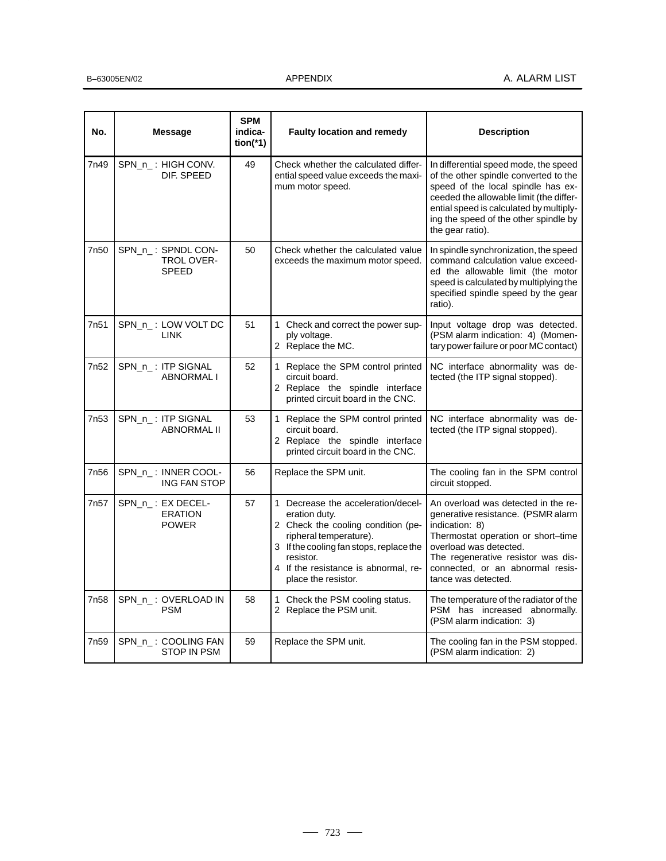| No.  | <b>Message</b>                                      | <b>SPM</b><br>indica-<br>$tion$ (*1) | <b>Faulty location and remedy</b>                                                                                                                                                                                                          | <b>Description</b>                                                                                                                                                                                                                                                      |
|------|-----------------------------------------------------|--------------------------------------|--------------------------------------------------------------------------------------------------------------------------------------------------------------------------------------------------------------------------------------------|-------------------------------------------------------------------------------------------------------------------------------------------------------------------------------------------------------------------------------------------------------------------------|
| 7n49 | SPN_n_: HIGH CONV.<br>DIF. SPEED                    | 49                                   | Check whether the calculated differ-<br>ential speed value exceeds the maxi-<br>mum motor speed.                                                                                                                                           | In differential speed mode, the speed<br>of the other spindle converted to the<br>speed of the local spindle has ex-<br>ceeded the allowable limit (the differ-<br>ential speed is calculated by multiply-<br>ing the speed of the other spindle by<br>the gear ratio). |
| 7n50 | SPN_n_: SPNDL CON-<br>TROL OVER-<br><b>SPEED</b>    | 50                                   | Check whether the calculated value<br>exceeds the maximum motor speed.                                                                                                                                                                     | In spindle synchronization, the speed<br>command calculation value exceed-<br>ed the allowable limit (the motor<br>speed is calculated by multiplying the<br>specified spindle speed by the gear<br>ratio).                                                             |
| 7n51 | SPN_n_: LOW VOLT DC<br><b>LINK</b>                  | 51                                   | 1 Check and correct the power sup-<br>ply voltage.<br>2 Replace the MC.                                                                                                                                                                    | Input voltage drop was detected.<br>(PSM alarm indication: 4) (Momen-<br>tary power failure or poor MC contact)                                                                                                                                                         |
| 7n52 | SPN_n_: ITP SIGNAL<br><b>ABNORMAL I</b>             | 52                                   | 1 Replace the SPM control printed<br>circuit board.<br>2 Replace the spindle interface<br>printed circuit board in the CNC.                                                                                                                | NC interface abnormality was de-<br>tected (the ITP signal stopped).                                                                                                                                                                                                    |
| 7n53 | SPN_n_: ITP SIGNAL<br><b>ABNORMAL II</b>            | 53                                   | 1 Replace the SPM control printed<br>circuit board.<br>2 Replace the spindle interface<br>printed circuit board in the CNC.                                                                                                                | NC interface abnormality was de-<br>tected (the ITP signal stopped).                                                                                                                                                                                                    |
| 7n56 | SPN_n_: INNER COOL-<br><b>ING FAN STOP</b>          | 56                                   | Replace the SPM unit.                                                                                                                                                                                                                      | The cooling fan in the SPM control<br>circuit stopped.                                                                                                                                                                                                                  |
| 7n57 | SPN_n_: EX DECEL-<br><b>ERATION</b><br><b>POWER</b> | 57                                   | 1 Decrease the acceleration/decel-<br>eration duty.<br>2 Check the cooling condition (pe-<br>ripheral temperature).<br>3 If the cooling fan stops, replace the<br>resistor.<br>4 If the resistance is abnormal, re-<br>place the resistor. | An overload was detected in the re-<br>generative resistance. (PSMR alarm<br>indication: 8)<br>Thermostat operation or short-time<br>overload was detected.<br>The regenerative resistor was dis-<br>connected, or an abnormal resis-<br>tance was detected.            |
| 7n58 | SPN_n_: OVERLOAD IN<br><b>PSM</b>                   | 58                                   | 1 Check the PSM cooling status.<br>2 Replace the PSM unit.                                                                                                                                                                                 | The temperature of the radiator of the<br>PSM has increased abnormally.<br>(PSM alarm indication: 3)                                                                                                                                                                    |
| 7n59 | SPN_n_: COOLING FAN<br><b>STOP IN PSM</b>           | 59                                   | Replace the SPM unit.                                                                                                                                                                                                                      | The cooling fan in the PSM stopped.<br>(PSM alarm indication: 2)                                                                                                                                                                                                        |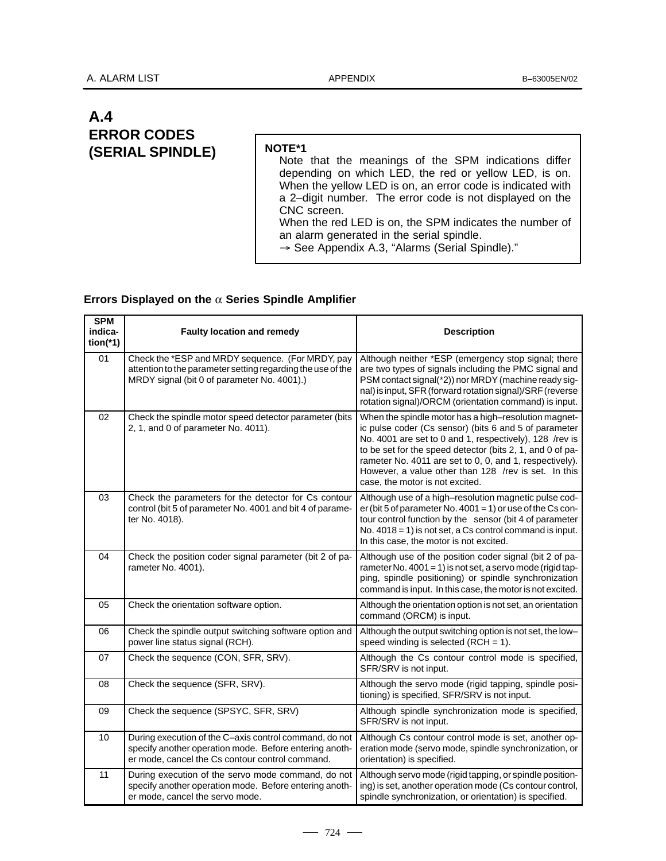## **A.4 ERROR CODES (SERIAL SPINDLE)**

### **NOTE\*1**

Note that the meanings of the SPM indications differ depending on which LED, the red or yellow LED, is on. When the yellow LED is on, an error code is indicated with a 2–digit number. The error code is not displayed on the CNC screen.

When the red LED is on, the SPM indicates the number of an alarm generated in the serial spindle.

### **Errors Displayed on the** α **Series Spindle Amplifier**

| <b>SPM</b><br>indica-<br>$tion$ (*1) | <b>Faulty location and remedy</b>                                                                                                                                   | <b>Description</b>                                                                                                                                                                                                                                                                                                                                                                          |
|--------------------------------------|---------------------------------------------------------------------------------------------------------------------------------------------------------------------|---------------------------------------------------------------------------------------------------------------------------------------------------------------------------------------------------------------------------------------------------------------------------------------------------------------------------------------------------------------------------------------------|
| 01                                   | Check the *ESP and MRDY sequence. (For MRDY, pay<br>attention to the parameter setting regarding the use of the<br>MRDY signal (bit 0 of parameter No. 4001).)      | Although neither *ESP (emergency stop signal; there<br>are two types of signals including the PMC signal and<br>PSM contact signal(*2)) nor MRDY (machine ready sig-<br>nal) is input, SFR (forward rotation signal)/SRF (reverse<br>rotation signal)/ORCM (orientation command) is input.                                                                                                  |
| 02                                   | Check the spindle motor speed detector parameter (bits<br>2, 1, and 0 of parameter No. 4011).                                                                       | When the spindle motor has a high-resolution magnet-<br>ic pulse coder (Cs sensor) (bits 6 and 5 of parameter<br>No. 4001 are set to 0 and 1, respectively), 128 /rev is<br>to be set for the speed detector (bits 2, 1, and 0 of pa-<br>rameter No. 4011 are set to 0, 0, and 1, respectively).<br>However, a value other than 128 /rev is set. In this<br>case, the motor is not excited. |
| 03                                   | Check the parameters for the detector for Cs contour<br>control (bit 5 of parameter No. 4001 and bit 4 of parame-<br>ter No. 4018).                                 | Although use of a high-resolution magnetic pulse cod-<br>er (bit 5 of parameter No. $4001 = 1$ ) or use of the Cs con-<br>tour control function by the sensor (bit 4 of parameter<br>No. $4018 = 1$ ) is not set, a Cs control command is input.<br>In this case, the motor is not excited.                                                                                                 |
| 04                                   | Check the position coder signal parameter (bit 2 of pa-<br>rameter No. 4001).                                                                                       | Although use of the position coder signal (bit 2 of pa-<br>rameter No. $4001 = 1$ ) is not set, a servo mode (rigid tap-<br>ping, spindle positioning) or spindle synchronization<br>command is input. In this case, the motor is not excited.                                                                                                                                              |
| 05                                   | Check the orientation software option.                                                                                                                              | Although the orientation option is not set, an orientation<br>command (ORCM) is input.                                                                                                                                                                                                                                                                                                      |
| 06                                   | Check the spindle output switching software option and<br>power line status signal (RCH).                                                                           | Although the output switching option is not set, the low-<br>speed winding is selected ( $RCH = 1$ ).                                                                                                                                                                                                                                                                                       |
| 07                                   | Check the sequence (CON, SFR, SRV).                                                                                                                                 | Although the Cs contour control mode is specified,<br>SFR/SRV is not input.                                                                                                                                                                                                                                                                                                                 |
| 08                                   | Check the sequence (SFR, SRV).                                                                                                                                      | Although the servo mode (rigid tapping, spindle posi-<br>tioning) is specified, SFR/SRV is not input.                                                                                                                                                                                                                                                                                       |
| 09                                   | Check the sequence (SPSYC, SFR, SRV)                                                                                                                                | Although spindle synchronization mode is specified,<br>SFR/SRV is not input.                                                                                                                                                                                                                                                                                                                |
| 10                                   | During execution of the C-axis control command, do not<br>specify another operation mode. Before entering anoth-<br>er mode, cancel the Cs contour control command. | Although Cs contour control mode is set, another op-<br>eration mode (servo mode, spindle synchronization, or<br>orientation) is specified.                                                                                                                                                                                                                                                 |
| 11                                   | During execution of the servo mode command, do not<br>specify another operation mode. Before entering anoth-<br>er mode, cancel the servo mode.                     | Although servo mode (rigid tapping, or spindle position-<br>ing) is set, another operation mode (Cs contour control,<br>spindle synchronization, or orientation) is specified.                                                                                                                                                                                                              |

<sup>→</sup> See Appendix A.3, "Alarms (Serial Spindle)."